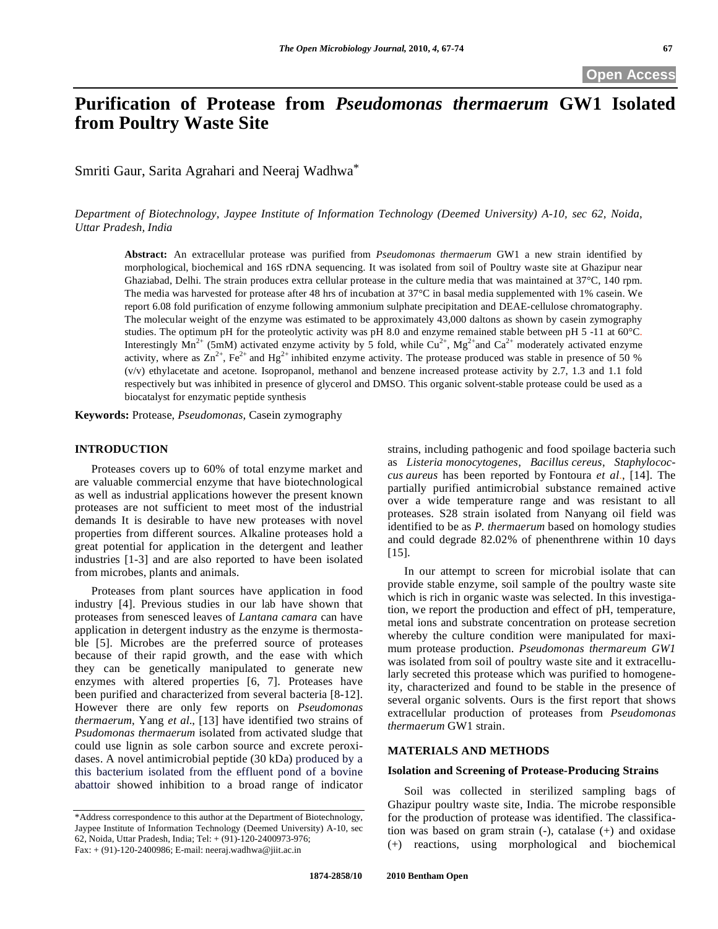# **Purification of Protease from** *Pseudomonas thermaerum* **GW1 Isolated from Poultry Waste Site**

Smriti Gaur, Sarita Agrahari and Neeraj Wadhwa\*

*Department of Biotechnology, Jaypee Institute of Information Technology (Deemed University) A-10, sec 62, Noida, Uttar Pradesh, India* 

**Abstract:** An extracellular protease was purified from *Pseudomonas thermaerum* GW1 a new strain identified by morphological, biochemical and 16S rDNA sequencing. It was isolated from soil of Poultry waste site at Ghazipur near Ghaziabad, Delhi. The strain produces extra cellular protease in the culture media that was maintained at 37°C, 140 rpm. The media was harvested for protease after 48 hrs of incubation at 37°C in basal media supplemented with 1% casein. We report 6.08 fold purification of enzyme following ammonium sulphate precipitation and DEAE-cellulose chromatography. The molecular weight of the enzyme was estimated to be approximately 43,000 daltons as shown by casein zymography studies. The optimum pH for the proteolytic activity was pH 8.0 and enzyme remained stable between pH 5 -11 at 60°C. Interestingly  $Mn^{2+}$  (5mM) activated enzyme activity by 5 fold, while Cu<sup>2+</sup>, Mg<sup>2+</sup>and Ca<sup>2+</sup> moderately activated enzyme activity, where as  $\text{Zn}^{2+}$ , Fe<sup>2+</sup> and Hg<sup>2+</sup> inhibited enzyme activity. The protease produced was stable in presence of 50 % (v/v) ethylacetate and acetone. Isopropanol, methanol and benzene increased protease activity by 2.7, 1.3 and 1.1 fold respectively but was inhibited in presence of glycerol and DMSO. This organic solvent-stable protease could be used as a biocatalyst for enzymatic peptide synthesis

**Keywords:** Protease, *Pseudomonas,* Casein zymography

### **INTRODUCTION**

 Proteases covers up to 60% of total enzyme market and are valuable commercial enzyme that have biotechnological as well as industrial applications however the present known proteases are not sufficient to meet most of the industrial demands It is desirable to have new proteases with novel properties from different sources. Alkaline proteases hold a great potential for application in the detergent and leather industries [1-3] and are also reported to have been isolated from microbes, plants and animals.

 Proteases from plant sources have application in food industry [4]. Previous studies in our lab have shown that proteases from senesced leaves of *Lantana camara* can have application in detergent industry as the enzyme is thermostable [5]. Microbes are the preferred source of proteases because of their rapid growth, and the ease with which they can be genetically manipulated to generate new enzymes with altered properties [6, 7]. Proteases have been purified and characterized from several bacteria [8-12]. However there are only few reports on *Pseudomonas thermaerum*, Yang *et al*., [13] have identified two strains of *Psudomonas thermaerum* isolated from activated sludge that could use lignin as sole carbon source and excrete peroxidases. A novel antimicrobial peptide (30 kDa) produced by a this bacterium isolated from the effluent pond of a bovine abattoir showed inhibition to a broad range of indicator

strains, including pathogenic and food spoilage bacteria such as *Listeria monocytogenes*, *Bacillus cereus*, *Staphylococcus aureus* has been reported by Fontoura *et al*., [14]. The partially purified antimicrobial substance remained active over a wide temperature range and was resistant to all proteases. S28 strain isolated from Nanyang oil field was identified to be as *P. thermaerum* based on homology studies and could degrade 82.02% of phenenthrene within 10 days [15].

 In our attempt to screen for microbial isolate that can provide stable enzyme, soil sample of the poultry waste site which is rich in organic waste was selected. In this investigation, we report the production and effect of pH, temperature, metal ions and substrate concentration on protease secretion whereby the culture condition were manipulated for maximum protease production. *Pseudomonas thermareum GW1* was isolated from soil of poultry waste site and it extracellularly secreted this protease which was purified to homogeneity, characterized and found to be stable in the presence of several organic solvents. Ours is the first report that shows extracellular production of proteases from *Pseudomonas thermaerum* GW1 strain.

## **MATERIALS AND METHODS**

#### **Isolation and Screening of Protease-Producing Strains**

 Soil was collected in sterilized sampling bags of Ghazipur poultry waste site, India. The microbe responsible for the production of protease was identified. The classification was based on gram strain (-), catalase (+) and oxidase (+) reactions, using morphological and biochemical

<sup>\*</sup>Address correspondence to this author at the Department of Biotechnology, Jaypee Institute of Information Technology (Deemed University) A-10, sec 62, Noida, Uttar Pradesh, India; Tel: + (91)-120-2400973-976; Fax: + (91)-120-2400986; E-mail: neeraj.wadhwa@jiit.ac.in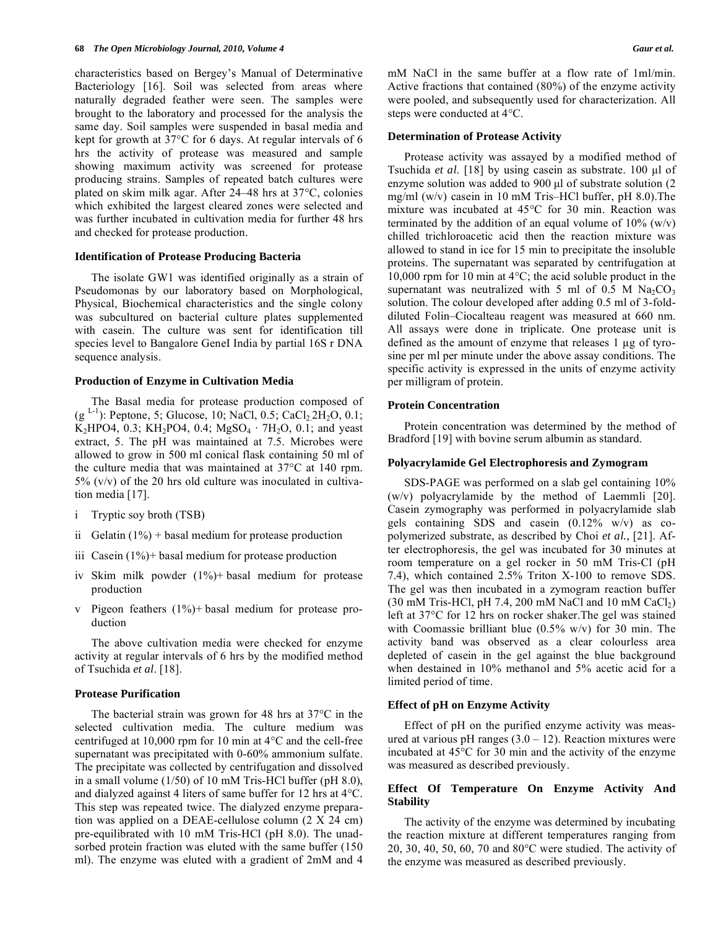characteristics based on Bergey's Manual of Determinative Bacteriology [16]. Soil was selected from areas where naturally degraded feather were seen. The samples were brought to the laboratory and processed for the analysis the same day. Soil samples were suspended in basal media and kept for growth at 37°C for 6 days. At regular intervals of 6 hrs the activity of protease was measured and sample showing maximum activity was screened for protease producing strains. Samples of repeated batch cultures were plated on skim milk agar. After 24–48 hrs at 37°C, colonies which exhibited the largest cleared zones were selected and was further incubated in cultivation media for further 48 hrs and checked for protease production.

#### **Identification of Protease Producing Bacteria**

 The isolate GW1 was identified originally as a strain of Pseudomonas by our laboratory based on Morphological, Physical, Biochemical characteristics and the single colony was subcultured on bacterial culture plates supplemented with casein. The culture was sent for identification till species level to Bangalore GeneI India by partial 16S r DNA sequence analysis.

### **Production of Enzyme in Cultivation Media**

 The Basal media for protease production composed of (g <sup>L-1</sup>): Peptone, 5; Glucose, 10; NaCl, 0.5; CaCl<sub>2</sub>.2H<sub>2</sub>O, 0.1; K<sub>2</sub>HPO4, 0.3; KH<sub>2</sub>PO4, 0.4; MgSO<sub>4</sub> · 7H<sub>2</sub>O, 0.1; and yeast extract, 5. The pH was maintained at 7.5. Microbes were allowed to grow in 500 ml conical flask containing 50 ml of the culture media that was maintained at 37°C at 140 rpm.  $5\%$  (v/v) of the 20 hrs old culture was inoculated in cultivation media [17].

- i Tryptic soy broth (TSB)
- ii Gelatin  $(1%)$  + basal medium for protease production
- iii Casein  $(1\%)$ + basal medium for protease production
- iv Skim milk powder (1%)+ basal medium for protease production
- v Pigeon feathers (1%)+ basal medium for protease production

 The above cultivation media were checked for enzyme activity at regular intervals of 6 hrs by the modified method of Tsuchida *et al*. [18].

#### **Protease Purification**

 The bacterial strain was grown for 48 hrs at 37°C in the selected cultivation media. The culture medium was centrifuged at 10,000 rpm for 10 min at 4°C and the cell-free supernatant was precipitated with 0-60% ammonium sulfate. The precipitate was collected by centrifugation and dissolved in a small volume (1/50) of 10 mM Tris-HCl buffer (pH 8.0), and dialyzed against 4 liters of same buffer for 12 hrs at 4°C. This step was repeated twice. The dialyzed enzyme preparation was applied on a DEAE-cellulose column (2 X 24 cm) pre-equilibrated with 10 mM Tris-HCl (pH 8.0). The unadsorbed protein fraction was eluted with the same buffer (150 ml). The enzyme was eluted with a gradient of 2mM and 4 mM NaCl in the same buffer at a flow rate of 1ml/min. Active fractions that contained (80%) of the enzyme activity were pooled, and subsequently used for characterization. All steps were conducted at 4°C.

### **Determination of Protease Activity**

 Protease activity was assayed by a modified method of Tsuchida *et al*. [18] by using casein as substrate. 100 μl of enzyme solution was added to 900 μl of substrate solution (2 mg/ml (w/v) casein in 10 mM Tris–HCl buffer, pH 8.0).The mixture was incubated at 45°C for 30 min. Reaction was terminated by the addition of an equal volume of  $10\%$  (w/v) chilled trichloroacetic acid then the reaction mixture was allowed to stand in ice for 15 min to precipitate the insoluble proteins. The supernatant was separated by centrifugation at 10,000 rpm for 10 min at 4°C; the acid soluble product in the supernatant was neutralized with 5 ml of 0.5 M  $Na<sub>2</sub>CO<sub>3</sub>$ solution. The colour developed after adding 0.5 ml of 3-folddiluted Folin–Ciocalteau reagent was measured at 660 nm. All assays were done in triplicate. One protease unit is defined as the amount of enzyme that releases  $1 \mu g$  of tyrosine per ml per minute under the above assay conditions. The specific activity is expressed in the units of enzyme activity per milligram of protein.

### **Protein Concentration**

 Protein concentration was determined by the method of Bradford [19] with bovine serum albumin as standard.

#### **Polyacrylamide Gel Electrophoresis and Zymogram**

 SDS-PAGE was performed on a slab gel containing 10% (w/v) polyacrylamide by the method of Laemmli [20]. Casein zymography was performed in polyacrylamide slab gels containing SDS and case in  $(0.12\% \text{ w/v})$  as copolymerized substrate, as described by Choi *et al.*, [21]. After electrophoresis, the gel was incubated for 30 minutes at room temperature on a gel rocker in 50 mM Tris-Cl (pH 7.4), which contained 2.5% Triton X-100 to remove SDS. The gel was then incubated in a zymogram reaction buffer  $(30 \text{ mM Tris-HCl}, \text{pH } 7.4, 200 \text{ mM NaCl}$  and 10 mM CaCl<sub>2</sub>) left at 37°C for 12 hrs on rocker shaker.The gel was stained with Coomassie brilliant blue  $(0.5\% \text{ w/v})$  for 30 min. The activity band was observed as a clear colourless area depleted of casein in the gel against the blue background when destained in 10% methanol and 5% acetic acid for a limited period of time.

#### **Effect of pH on Enzyme Activity**

 Effect of pH on the purified enzyme activity was measured at various pH ranges  $(3.0 - 12)$ . Reaction mixtures were incubated at 45°C for 30 min and the activity of the enzyme was measured as described previously.

## **Effect Of Temperature On Enzyme Activity And Stability**

 The activity of the enzyme was determined by incubating the reaction mixture at different temperatures ranging from 20, 30, 40, 50, 60, 70 and 80°C were studied. The activity of the enzyme was measured as described previously.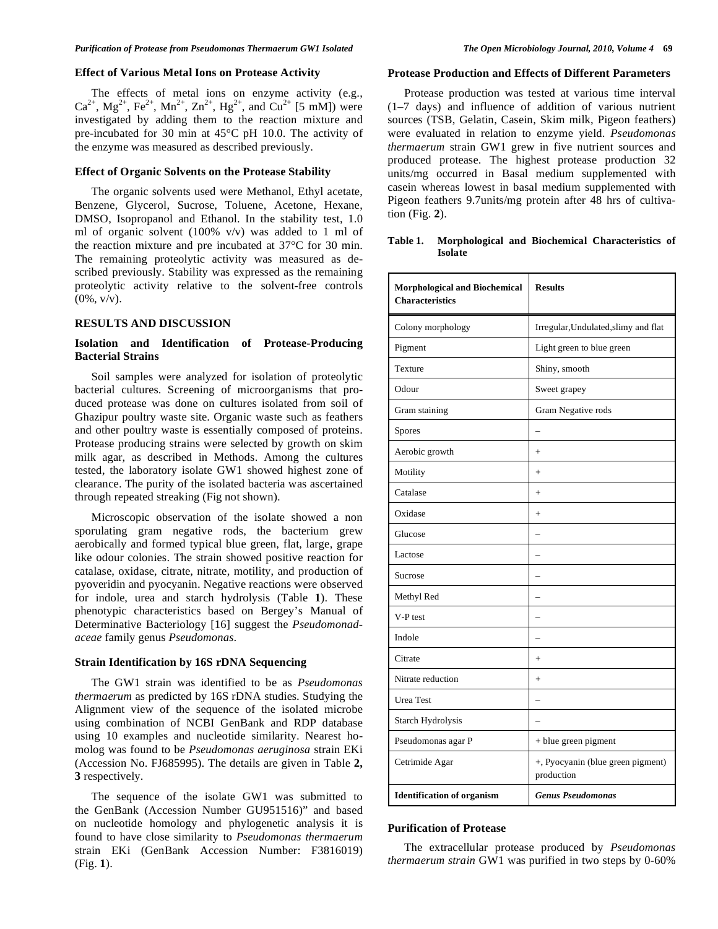#### **Effect of Various Metal Ions on Protease Activity**

 The effects of metal ions on enzyme activity (e.g.,  $Ca^{2+}$ ,  $Mg^{2+}$ ,  $Fe^{2+}$ ,  $Mn^{2+}$ ,  $Zn^{2+}$ ,  $Hg^{2+}$ , and  $Cu^{2+}$  [5 mM]) were investigated by adding them to the reaction mixture and pre-incubated for 30 min at 45°C pH 10.0. The activity of the enzyme was measured as described previously.

#### **Effect of Organic Solvents on the Protease Stability**

 The organic solvents used were Methanol, Ethyl acetate, Benzene, Glycerol, Sucrose, Toluene, Acetone, Hexane, DMSO, Isopropanol and Ethanol. In the stability test, 1.0 ml of organic solvent  $(100\% \text{ v/v})$  was added to 1 ml of the reaction mixture and pre incubated at 37°C for 30 min. The remaining proteolytic activity was measured as described previously. Stability was expressed as the remaining proteolytic activity relative to the solvent-free controls  $(0\%, v/v)$ .

# **RESULTS AND DISCUSSION**

## **Isolation and Identification of Protease-Producing Bacterial Strains**

 Soil samples were analyzed for isolation of proteolytic bacterial cultures. Screening of microorganisms that produced protease was done on cultures isolated from soil of Ghazipur poultry waste site. Organic waste such as feathers and other poultry waste is essentially composed of proteins. Protease producing strains were selected by growth on skim milk agar, as described in Methods. Among the cultures tested, the laboratory isolate GW1 showed highest zone of clearance. The purity of the isolated bacteria was ascertained through repeated streaking (Fig not shown).

 Microscopic observation of the isolate showed a non sporulating gram negative rods, the bacterium grew aerobically and formed typical blue green, flat, large, grape like odour colonies. The strain showed positive reaction for catalase, oxidase, citrate, nitrate, motility, and production of pyoveridin and pyocyanin. Negative reactions were observed for indole, urea and starch hydrolysis (Table **1**). These phenotypic characteristics based on Bergey's Manual of Determinative Bacteriology [16] suggest the *Pseudomonadaceae* family genus *Pseudomonas*.

#### **Strain Identification by 16S rDNA Sequencing**

 The GW1 strain was identified to be as *Pseudomonas thermaerum* as predicted by 16S rDNA studies. Studying the Alignment view of the sequence of the isolated microbe using combination of NCBI GenBank and RDP database using 10 examples and nucleotide similarity. Nearest homolog was found to be *Pseudomonas aeruginosa* strain EKi (Accession No. FJ685995). The details are given in Table **2, 3** respectively.

 The sequence of the isolate GW1 was submitted to the GenBank (Accession Number GU951516)" and based on nucleotide homology and phylogenetic analysis it is found to have close similarity to *Pseudomonas thermaerum* strain EKi (GenBank Accession Number: F3816019) (Fig. **1**).

#### **Protease Production and Effects of Different Parameters**

 Protease production was tested at various time interval (1–7 days) and influence of addition of various nutrient sources (TSB, Gelatin, Casein, Skim milk, Pigeon feathers) were evaluated in relation to enzyme yield. *Pseudomonas thermaerum* strain GW1 grew in five nutrient sources and produced protease. The highest protease production 32 units/mg occurred in Basal medium supplemented with casein whereas lowest in basal medium supplemented with Pigeon feathers 9.7units/mg protein after 48 hrs of cultivation (Fig. **2**).

**Table 1. Morphological and Biochemical Characteristics of Isolate** 

| <b>Morphological and Biochemical</b><br><b>Characteristics</b> | <b>Results</b>                                  |
|----------------------------------------------------------------|-------------------------------------------------|
| Colony morphology                                              | Irregular, Undulated, slimy and flat            |
| Pigment                                                        | Light green to blue green                       |
| Texture                                                        | Shiny, smooth                                   |
| Odour                                                          | Sweet grapey                                    |
| Gram staining                                                  | Gram Negative rods                              |
| Spores                                                         | $\overline{\phantom{0}}$                        |
| Aerobic growth                                                 | $^{+}$                                          |
| Motility                                                       | $^{+}$                                          |
| Catalase                                                       | $^{+}$                                          |
| Oxidase                                                        | $^{+}$                                          |
| Glucose                                                        |                                                 |
| Lactose                                                        |                                                 |
| Sucrose                                                        |                                                 |
| Methyl Red                                                     |                                                 |
| V-P test                                                       |                                                 |
| Indole                                                         |                                                 |
| Citrate                                                        | $^{+}$                                          |
| Nitrate reduction                                              | $^{+}$                                          |
| <b>Urea Test</b>                                               |                                                 |
| Starch Hydrolysis                                              |                                                 |
| Pseudomonas agar P                                             | + blue green pigment                            |
| Cetrimide Agar                                                 | +, Pyocyanin (blue green pigment)<br>production |
| <b>Identification of organism</b>                              | <b>Genus Pseudomonas</b>                        |

#### **Purification of Protease**

 The extracellular protease produced by *Pseudomonas thermaerum strain* GW1 was purified in two steps by 0-60%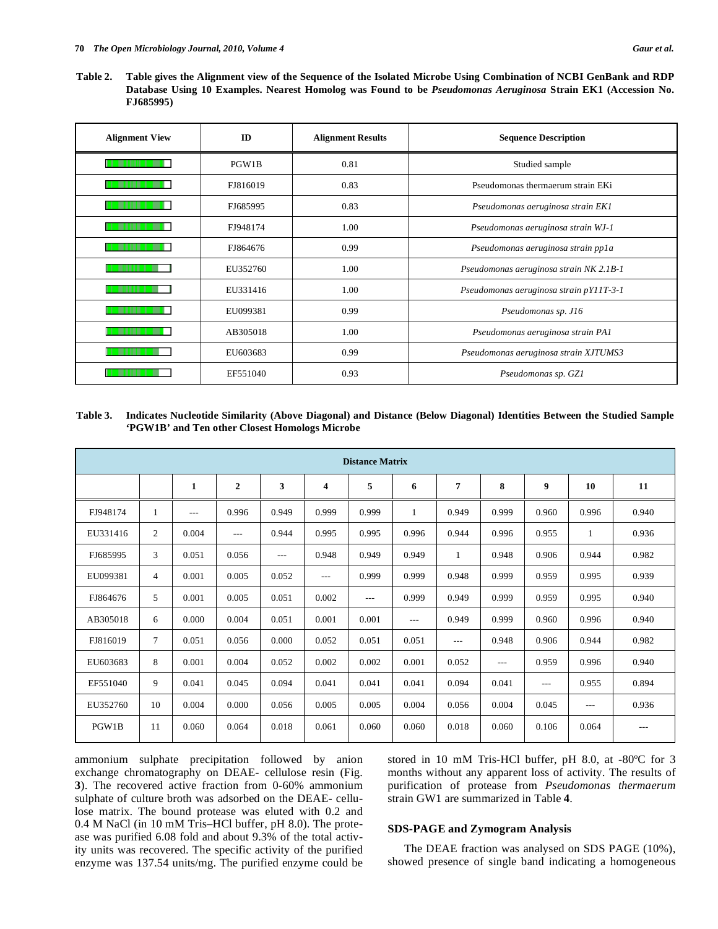**Table 2. Table gives the Alignment view of the Sequence of the Isolated Microbe Using Combination of NCBI GenBank and RDP Database Using 10 Examples. Nearest Homolog was Found to be** *Pseudomonas Aeruginosa* **Strain EK1 (Accession No. FJ685995)** 

| <b>Alignment View</b> | ID       | <b>Alignment Results</b>                      | <b>Sequence Description</b>             |
|-----------------------|----------|-----------------------------------------------|-----------------------------------------|
|                       | PGW1B    | 0.81                                          | Studied sample                          |
|                       | FJ816019 | 0.83                                          | Pseudomonas thermaerum strain EKi       |
|                       | FJ685995 | 0.83                                          | Pseudomonas aeruginosa strain EK1       |
|                       | FJ948174 | 1.00                                          | Pseudomonas aeruginosa strain WJ-1      |
|                       | FJ864676 | 0.99                                          | Pseudomonas aeruginosa strain pp1a      |
|                       | EU352760 | 1.00                                          | Pseudomonas aeruginosa strain NK 2.1B-1 |
|                       | EU331416 | 1.00                                          | Pseudomonas aeruginosa strain pY11T-3-1 |
|                       | EU099381 | 0.99                                          | Pseudomonas sp. J16                     |
|                       | AB305018 | 1.00                                          | Pseudomonas aeruginosa strain PA1       |
|                       | EU603683 | 0.99<br>Pseudomonas aeruginosa strain XJTUMS3 |                                         |
|                       | EF551040 | 0.93<br>Pseudomonas sp. GZ1                   |                                         |

## **Table 3. Indicates Nucleotide Similarity (Above Diagonal) and Distance (Below Diagonal) Identities Between the Studied Sample 'PGW1B' and Ten other Closest Homologs Microbe**

| <b>Distance Matrix</b> |                |       |                  |       |       |       |       |                |       |       |              |       |
|------------------------|----------------|-------|------------------|-------|-------|-------|-------|----------------|-------|-------|--------------|-------|
|                        |                | 1     | $\boldsymbol{2}$ | 3     | 4     | 5     | 6     | $\overline{7}$ | 8     | 9     | 10           | 11    |
| FJ948174               | 1              | $---$ | 0.996            | 0.949 | 0.999 | 0.999 | 1     | 0.949          | 0.999 | 0.960 | 0.996        | 0.940 |
| EU331416               | $\overline{c}$ | 0.004 | $---$            | 0.944 | 0.995 | 0.995 | 0.996 | 0.944          | 0.996 | 0.955 | $\mathbf{1}$ | 0.936 |
| FJ685995               | 3              | 0.051 | 0.056            | $---$ | 0.948 | 0.949 | 0.949 | -1             | 0.948 | 0.906 | 0.944        | 0.982 |
| EU099381               | $\overline{4}$ | 0.001 | 0.005            | 0.052 | $---$ | 0.999 | 0.999 | 0.948          | 0.999 | 0.959 | 0.995        | 0.939 |
| FJ864676               | 5              | 0.001 | 0.005            | 0.051 | 0.002 | $---$ | 0.999 | 0.949          | 0.999 | 0.959 | 0.995        | 0.940 |
| AB305018               | 6              | 0.000 | 0.004            | 0.051 | 0.001 | 0.001 | $---$ | 0.949          | 0.999 | 0.960 | 0.996        | 0.940 |
| FJ816019               | 7              | 0.051 | 0.056            | 0.000 | 0.052 | 0.051 | 0.051 | $---$          | 0.948 | 0.906 | 0.944        | 0.982 |
| EU603683               | 8              | 0.001 | 0.004            | 0.052 | 0.002 | 0.002 | 0.001 | 0.052          | ---   | 0.959 | 0.996        | 0.940 |
| EF551040               | 9              | 0.041 | 0.045            | 0.094 | 0.041 | 0.041 | 0.041 | 0.094          | 0.041 | $---$ | 0.955        | 0.894 |
| EU352760               | 10             | 0.004 | 0.000            | 0.056 | 0.005 | 0.005 | 0.004 | 0.056          | 0.004 | 0.045 | $---$        | 0.936 |
| PGW1B                  | 11             | 0.060 | 0.064            | 0.018 | 0.061 | 0.060 | 0.060 | 0.018          | 0.060 | 0.106 | 0.064        | $---$ |

ammonium sulphate precipitation followed by anion exchange chromatography on DEAE- cellulose resin (Fig. **3**). The recovered active fraction from 0-60% ammonium sulphate of culture broth was adsorbed on the DEAE- cellulose matrix. The bound protease was eluted with 0.2 and 0.4 M NaCl (in 10 mM Tris–HCl buffer, pH 8.0). The protease was purified 6.08 fold and about 9.3% of the total activity units was recovered. The specific activity of the purified enzyme was 137.54 units/mg. The purified enzyme could be stored in 10 mM Tris-HCl buffer, pH 8.0, at -80ºC for 3 months without any apparent loss of activity. The results of purification of protease from *Pseudomonas thermaerum*  strain GW1 are summarized in Table **4**.

#### **SDS-PAGE and Zymogram Analysis**

 The DEAE fraction was analysed on SDS PAGE (10%), showed presence of single band indicating a homogeneous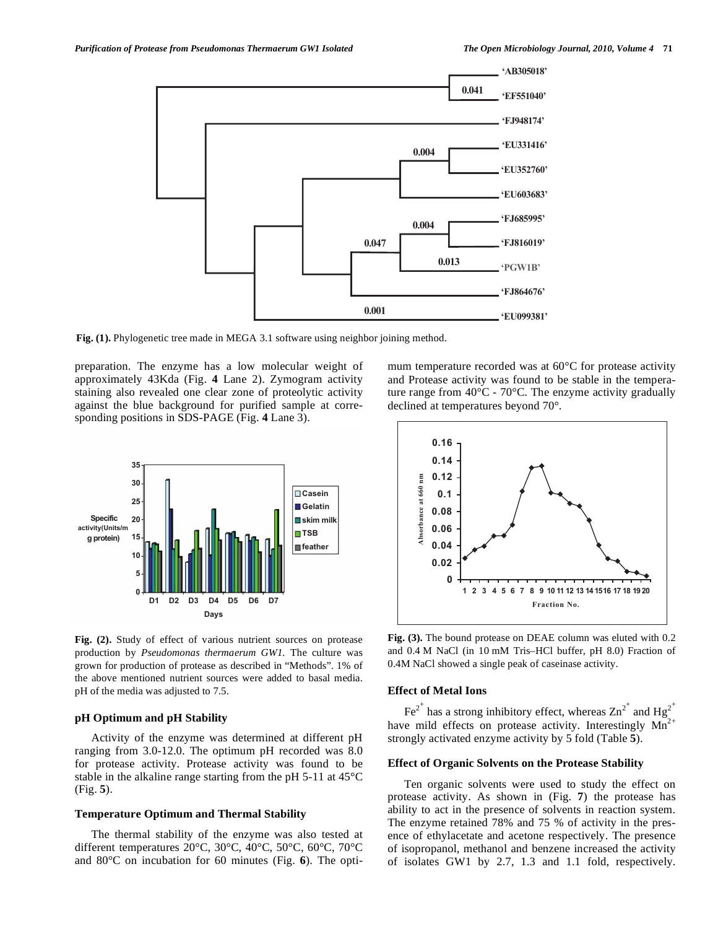

Fig. (1). Phylogenetic tree made in MEGA 3.1 software using neighbor joining method.

preparation. The enzyme has a low molecular weight of approximately 43Kda (Fig. **4** Lane 2). Zymogram activity staining also revealed one clear zone of proteolytic activity against the blue background for purified sample at corresponding positions in SDS-PAGE (Fig. **4** Lane 3).



**Fig. (2).** Study of effect of various nutrient sources on protease production by *Pseudomonas thermaerum GW1.* The culture was grown for production of protease as described in "Methods". 1% of the above mentioned nutrient sources were added to basal media. pH of the media was adjusted to 7.5.

#### **pH Optimum and pH Stability**

 Activity of the enzyme was determined at different pH ranging from 3.0-12.0. The optimum pH recorded was 8.0 for protease activity. Protease activity was found to be stable in the alkaline range starting from the pH 5-11 at 45°C (Fig. **5**).

#### **Temperature Optimum and Thermal Stability**

 The thermal stability of the enzyme was also tested at different temperatures 20°C, 30°C, 40°C, 50°C, 60°C, 70°C and 80°C on incubation for 60 minutes (Fig. **6**). The optimum temperature recorded was at 60°C for protease activity and Protease activity was found to be stable in the temperature range from  $40^{\circ}$ C -  $70^{\circ}$ C. The enzyme activity gradually declined at temperatures beyond 70°.



**Fig. (3).** The bound protease on DEAE column was eluted with 0.2 and 0.4 M NaCl (in 10 mM Tris–HCl buffer, pH 8.0) Fraction of 0.4M NaCl showed a single peak of caseinase activity.

# **Effect of Metal Ions**

Fe<sup>2+</sup> has a strong inhibitory effect, whereas  $\text{Zn}^{2^+}$  and Hg<sup>2+</sup> have mild effects on protease activity. Interestingly  $Mn^{2+}$ strongly activated enzyme activity by 5 fold (Table **5**).

## **Effect of Organic Solvents on the Protease Stability**

 Ten organic solvents were used to study the effect on protease activity. As shown in (Fig. **7**) the protease has ability to act in the presence of solvents in reaction system. The enzyme retained 78% and 75 % of activity in the presence of ethylacetate and acetone respectively. The presence of isopropanol, methanol and benzene increased the activity of isolates GW1 by 2.7, 1.3 and 1.1 fold, respectively.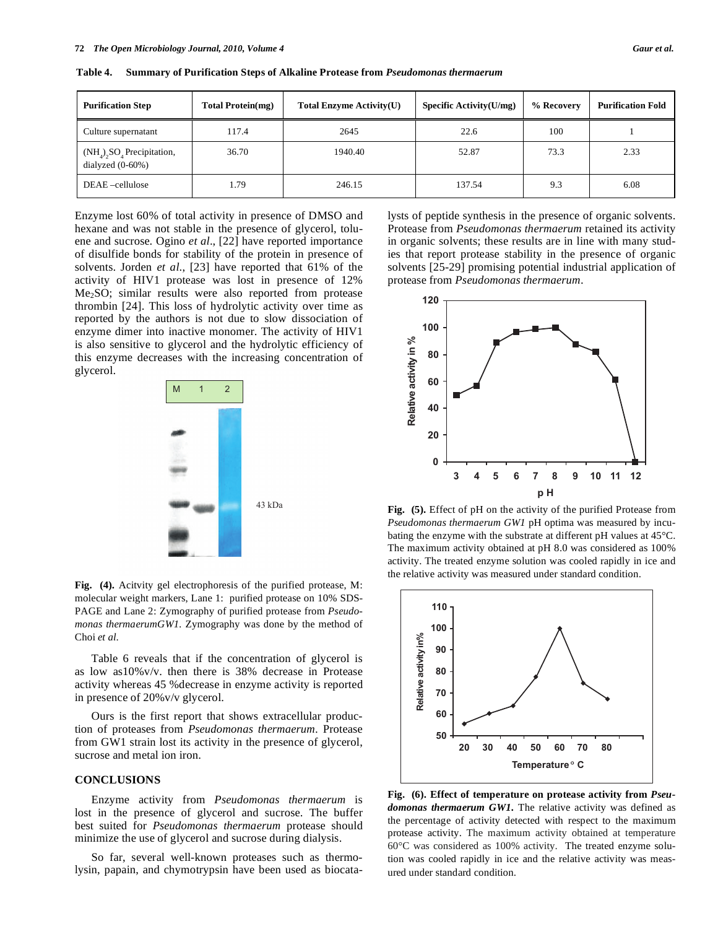| <b>Purification Step</b>                                                    | <b>Total Protein(mg)</b> | <b>Total Enzyme Activity(U)</b> | Specific Activity $(U/mg)$ | % Recovery | <b>Purification Fold</b> |
|-----------------------------------------------------------------------------|--------------------------|---------------------------------|----------------------------|------------|--------------------------|
| Culture supernatant                                                         | 117.4                    | 2645                            | 22.6                       | 100        |                          |
| $(NH_4)$ <sub>2</sub> SO <sub>4</sub> Precipitation,<br>dialyzed $(0-60\%)$ | 36.70                    | 1940.40                         | 52.87                      | 73.3       | 2.33                     |
| DEAE-cellulose                                                              | 1.79                     | 246.15                          | 137.54                     | 9.3        | 6.08                     |

**Table 4. Summary of Purification Steps of Alkaline Protease from** *Pseudomonas thermaerum*

Enzyme lost 60% of total activity in presence of DMSO and hexane and was not stable in the presence of glycerol, toluene and sucrose. Ogino *et al*., [22] have reported importance of disulfide bonds for stability of the protein in presence of solvents. Jorden *et al*., [23] have reported that 61% of the activity of HIV1 protease was lost in presence of 12% Me<sub>2</sub>SO; similar results were also reported from protease thrombin [24]. This loss of hydrolytic activity over time as reported by the authors is not due to slow dissociation of enzyme dimer into inactive monomer. The activity of HIV1 is also sensitive to glycerol and the hydrolytic efficiency of this enzyme decreases with the increasing concentration of glycerol.



**Fig. (4).** Acitvity gel electrophoresis of the purified protease, M: molecular weight markers, Lane 1: purified protease on 10% SDS-PAGE and Lane 2: Zymography of purified protease from *Pseudomonas thermaerumGW1.* Zymography was done by the method of Choi *et al*.

 Table 6 reveals that if the concentration of glycerol is as low as10%v/v. then there is 38% decrease in Protease activity whereas 45 %decrease in enzyme activity is reported in presence of 20%v/v glycerol.

 Ours is the first report that shows extracellular production of proteases from *Pseudomonas thermaerum.* Protease from GW1 strain lost its activity in the presence of glycerol, sucrose and metal ion iron.

### **CONCLUSIONS**

 Enzyme activity from *Pseudomonas thermaerum* is lost in the presence of glycerol and sucrose. The buffer best suited for *Pseudomonas thermaerum* protease should minimize the use of glycerol and sucrose during dialysis.

 So far, several well-known proteases such as thermolysin, papain, and chymotrypsin have been used as biocatalysts of peptide synthesis in the presence of organic solvents. Protease from *Pseudomonas thermaerum* retained its activity in organic solvents; these results are in line with many studies that report protease stability in the presence of organic solvents [25-29] promising potential industrial application of protease from *Pseudomonas thermaerum*.



**Fig. (5).** Effect of pH on the activity of the purified Protease from *Pseudomonas thermaerum GW1* pH optima was measured by incubating the enzyme with the substrate at different pH values at 45°C. The maximum activity obtained at pH 8.0 was considered as 100% activity. The treated enzyme solution was cooled rapidly in ice and the relative activity was measured under standard condition.



**Fig. (6). Effect of temperature on protease activity from** *Pseudomonas thermaerum GW1.* The relative activity was defined as the percentage of activity detected with respect to the maximum protease activity. The maximum activity obtained at temperature 60°C was considered as 100% activity. The treated enzyme solution was cooled rapidly in ice and the relative activity was measured under standard condition.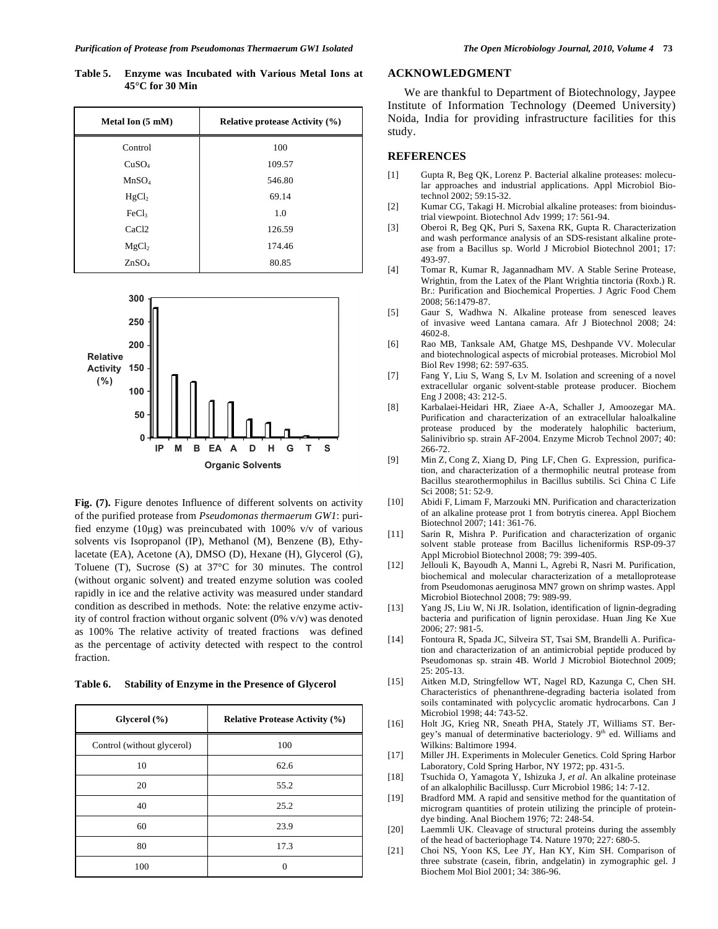**Table 5. Enzyme was Incubated with Various Metal Ions at 45°C for 30 Min** 

| Metal Ion (5 mM)  | <b>Relative protease Activity (%)</b> |
|-------------------|---------------------------------------|
| Control           | 100                                   |
| CuSO <sub>4</sub> | 109.57                                |
| MnSO <sub>4</sub> | 546.80                                |
| HgCl <sub>2</sub> | 69.14                                 |
| FeCl <sub>3</sub> | 1.0                                   |
| CaC <sub>12</sub> | 126.59                                |
| MgCl <sub>2</sub> | 174.46                                |
| ZnSO <sub>4</sub> | 80.85                                 |



Fig. (7). Figure denotes Influence of different solvents on activity of the purified protease from *Pseudomonas thermaerum GW1*: purified enzyme (10 $\mu$ g) was preincubated with 100% v/v of various solvents vis Isopropanol (IP), Methanol (M), Benzene (B), Ethylacetate (EA), Acetone (A), DMSO (D), Hexane (H), Glycerol (G), Toluene (T), Sucrose (S) at 37°C for 30 minutes. The control (without organic solvent) and treated enzyme solution was cooled rapidly in ice and the relative activity was measured under standard condition as described in methods. Note: the relative enzyme activity of control fraction without organic solvent (0% v/v) was denoted as 100% The relative activity of treated fractions was defined as the percentage of activity detected with respect to the control fraction.

**Table 6. Stability of Enzyme in the Presence of Glycerol** 

| Glycerol $(\% )$           | <b>Relative Protease Activity (%)</b> |
|----------------------------|---------------------------------------|
| Control (without glycerol) | 100                                   |
| 10                         | 62.6                                  |
| 20                         | 55.2                                  |
| 40                         | 25.2                                  |
| 60                         | 23.9                                  |
| 80                         | 17.3                                  |
| 100                        | 0                                     |

# **ACKNOWLEDGMENT**

 We are thankful to Department of Biotechnology, Jaypee Institute of Information Technology (Deemed University) Noida, India for providing infrastructure facilities for this study.

#### **REFERENCES**

- [1] Gupta R, Beg QK, Lorenz P. Bacterial alkaline proteases: molecular approaches and industrial applications. Appl Microbiol Biotechnol 2002; 59:15-32.
- [2] Kumar CG, Takagi H. Microbial alkaline proteases: from bioindustrial viewpoint. Biotechnol Adv 1999; 17: 561-94.
- [3] Oberoi R, Beg QK, Puri S, Saxena RK, Gupta R. Characterization and wash performance analysis of an SDS-resistant alkaline protease from a Bacillus sp. World J Microbiol Biotechnol 2001; 17: 493-97.
- [4] Tomar R, Kumar R, Jagannadham MV. A Stable Serine Protease, Wrightin, from the Latex of the Plant Wrightia tinctoria (Roxb.) R. Br.: Purification and Biochemical Properties. J Agric Food Chem 2008; 56:1479-87.
- [5] Gaur S, Wadhwa N. Alkaline protease from senesced leaves of invasive weed Lantana camara. Afr J Biotechnol 2008; 24: 4602-8.
- [6] Rao MB, Tanksale AM, Ghatge MS, Deshpande VV. Molecular and biotechnological aspects of microbial proteases. Microbiol Mol Biol Rev 1998; 62: 597-635.
- [7] Fang Y, Liu S, Wang S, Lv M. Isolation and screening of a novel extracellular organic solvent-stable protease producer. Biochem Eng J 2008; 43: 212-5.
- [8] Karbalaei-Heidari HR, Ziaee A-A, Schaller J, Amoozegar MA. Purification and characterization of an extracellular haloalkaline protease produced by the moderately halophilic bacterium, Salinivibrio sp. strain AF-2004. Enzyme Microb Technol 2007; 40: 266-72.
- [9] Min Z, Cong Z, Xiang D, Ping LF, Chen G. Expression, purification, and characterization of a thermophilic neutral protease from Bacillus stearothermophilus in Bacillus subtilis. Sci China C Life Sci 2008; 51: 52-9.
- [10] Abidi F, Limam F, Marzouki MN. Purification and characterization of an alkaline protease prot 1 from botrytis cinerea. Appl Biochem Biotechnol 2007; 141: 361-76.
- [11] Sarin R, Mishra P. Purification and characterization of organic solvent stable protease from Bacillus licheniformis RSP-09-37 Appl Microbiol Biotechnol 2008; 79: 399-405.
- [12] Jellouli K, Bayoudh A, Manni L, Agrebi R, Nasri M. Purification, biochemical and molecular characterization of a metalloprotease from Pseudomonas aeruginosa MN7 grown on shrimp wastes. Appl Microbiol Biotechnol 2008; 79: 989-99.
- [13] Yang JS, Liu W, Ni JR. Isolation, identification of lignin-degrading bacteria and purification of lignin peroxidase. Huan Jing Ke Xue 2006; 27: 981-5.
- [14] Fontoura R, Spada JC, Silveira ST, Tsai SM, Brandelli A. Purification and characterization of an antimicrobial peptide produced by Pseudomonas sp. strain 4B. World J Microbiol Biotechnol 2009; 25: 205-13.
- [15] Aitken M.D, Stringfellow WT, Nagel RD, Kazunga C, Chen SH. Characteristics of phenanthrene-degrading bacteria isolated from soils contaminated with polycyclic aromatic hydrocarbons. Can J Microbiol 1998; 44: 743-52.
- [16] Holt JG, Krieg NR, Sneath PHA, Stately JT, Williams ST. Bergey's manual of determinative bacteriology. 9<sup>th</sup> ed. Williams and Wilkins: Baltimore 1994.
- [17] Miller JH. Experiments in Moleculer Genetics. Cold Spring Harbor Laboratory, Cold Spring Harbor, NY 1972; pp. 431-5.
- [18] Tsuchida O, Yamagota Y, Ishizuka J, *et al*. An alkaline proteinase of an alkalophilic Bacillussp. Curr Microbiol 1986; 14: 7-12.
- [19] Bradford MM. A rapid and sensitive method for the quantitation of microgram quantities of protein utilizing the principle of proteindye binding. Anal Biochem 1976; 72: 248-54.
- [20] Laemmli UK. Cleavage of structural proteins during the assembly of the head of bacteriophage T4. Nature 1970; 227: 680-5.
- [21] Choi NS, Yoon KS, Lee JY, Han KY, Kim SH. Comparison of three substrate (casein, fibrin, andgelatin) in zymographic gel. J Biochem Mol Biol 2001; 34: 386-96.